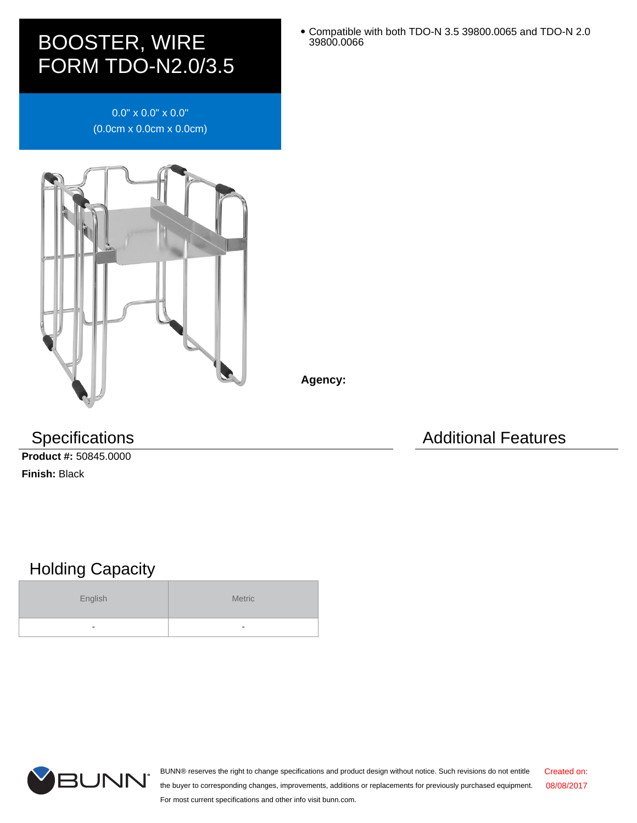## BOOSTER, WIRE FORM TDO-N2.0/3.5

0.0" x 0.0" x 0.0" (0.0cm x 0.0cm x 0.0cm)



**Agency:**

**Product #:** 50845.0000 **Finish:** Black

## Holding Capacity

| English                  | Metric                   |
|--------------------------|--------------------------|
| $\overline{\phantom{a}}$ | $\overline{\phantom{0}}$ |

**BUNN** 

BUNN® reserves the right to change specifications and product design without notice. Such revisions do not entitle the buyer to corresponding changes, improvements, additions or replacements for previously purchased equipment. For most current specifications and other info visit bunn.com. Created on: 08/08/2017

Compatible with both TDO-N 3.5 39800.0065 and TDO-N 2.0  $\bullet$ 39800.0066

Specifications **Additional Features** Additional Features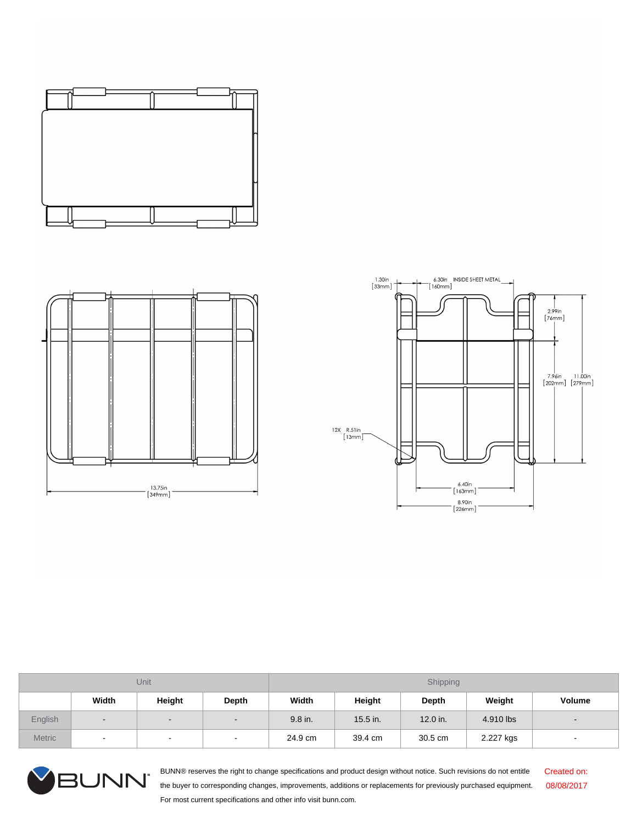





| Unit          |                          |                          |                | Shipping |            |            |           |        |
|---------------|--------------------------|--------------------------|----------------|----------|------------|------------|-----------|--------|
|               | Width                    | Height                   | Depth          | Width    | Height     | Depth      | Weight    | Volume |
| English       | $\blacksquare$           | $\blacksquare$           | $\blacksquare$ | 9.8 in.  | $15.5$ in. | $12.0$ in. | 4.910 lbs | $\sim$ |
| <b>Metric</b> | $\overline{\phantom{a}}$ | $\overline{\phantom{a}}$ | $\sim$         | 24.9 cm  | 39.4 cm    | 30.5 cm    | 2.227 kgs |        |



BUNN® reserves the right to change specifications and product design without notice. Such revisions do not entitle the buyer to corresponding changes, improvements, additions or replacements for previously purchased equipment. For most current specifications and other info visit bunn.com.

Created on: 08/08/2017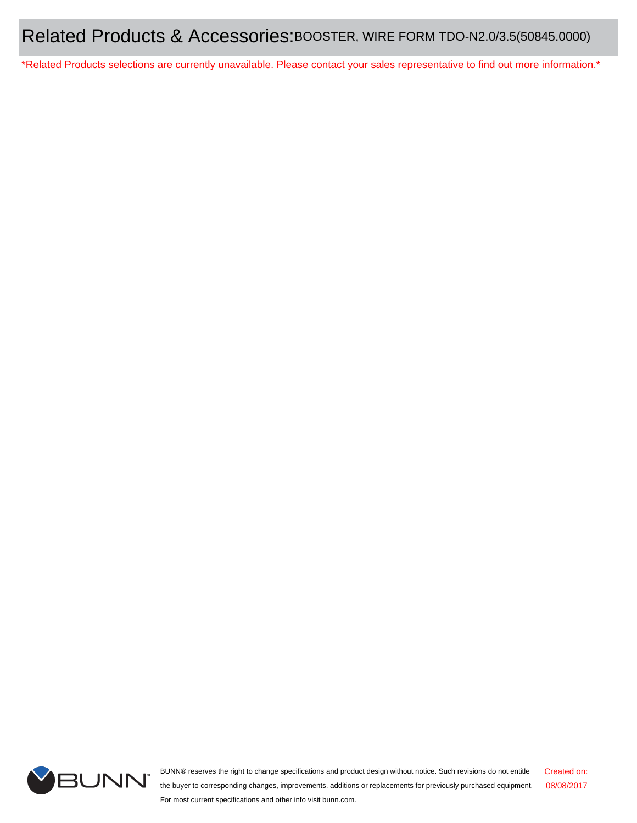\*Related Products selections are currently unavailable. Please contact your sales representative to find out more information.\*



BUNN® reserves the right to change specifications and product design without notice. Such revisions do not entitle the buyer to corresponding changes, improvements, additions or replacements for previously purchased equipment. For most current specifications and other info visit bunn.com. Created on: 08/08/2017